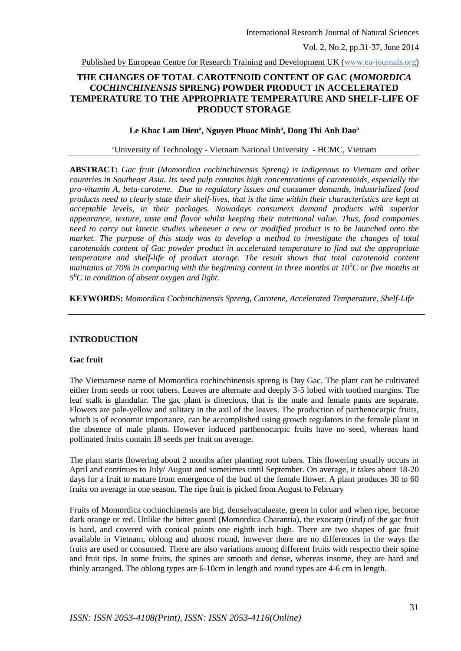Published by European Centre for Research Training and Development UK (www.ea-journals.org)

# **THE CHANGES OF TOTAL CAROTENOID CONTENT OF GAC (***MOMORDICA COCHINCHINENSIS* **SPRENG) POWDER PRODUCT IN ACCELERATED TEMPERATURE TO THE APPROPRIATE TEMPERATURE AND SHELF-LIFE OF PRODUCT STORAGE**

#### **Le Khac Lam Dien<sup>a</sup> , Nguyen Phuoc Minh<sup>a</sup> , Dong Thi Anh Dao a**

## <sup>a</sup>University of Technology - Vietnam National University - HCMC, Vietnam

**ABSTRACT:** *Gac fruit (Momordica cochinchinensis Spreng) is indigenous to Vietnam and other countries in Southeast Asia. Its seed pulp contains high concentrations of carotenoids, especially the pro-vitamin A, beta-carotene. Due to regulatory issues and consumer demands, industrialized food products need to clearly state their shelf-lives, that is the time within their characteristics are kept at acceptable levels, in their packages. Nowadays consumers demand products with superior appearance, texture, taste and flavor whilst keeping their nutritional value. Thus, food companies need to carry out kinetic studies whenever a new or modified product is to be launched onto the market. The purpose of this study was to develop a method to investigate the changes of total carotenoids content of Gac powder product in accelerated temperature to find out the appropriate temperature and shelf-life of product storage. The result shows that total carotenoid content maintains at 70% in comparing with the beginning content in three months at 10<sup>0</sup>C or five months at 5 <sup>0</sup>C in condition of absent oxygen and light*.

**KEYWORDS:** *Momordica Cochinchinensis Spreng, Carotene, Accelerated Temperature, Shelf-Life*

## **INTRODUCTION**

#### **Gac fruit**

The Vietnamese name of Momordica cochinchinensis spreng is Day Gac. The plant can be cultivated either from seeds or root tubers. Leaves are alternate and deeply 3-5 lobed with toothed margins. The leaf stalk is glandular. The gac plant is dioecious, that is the male and female pants are separate. Flowers are pale-yellow and solitary in the axil of the leaves. The production of parthenocarpic fruits, which is of economic importance, can be accomplished using growth regulators in the female plant in the absence of male plants. However induced parthenocarpic fruits have no seed, whereas hand pollinated fruits contain 18 seeds per fruit on average.

The plant starts flowering about 2 months after planting root tubers. This flowering usually occurs in April and continues to July/ August and sometimes until September. On average, it takes about 18-20 days for a fruit to mature from emergence of the bud of the female flower. A plant produces 30 to 60 fruits on average in one season. The ripe fruit is picked from August to February

Fruits of Momordica cochinchinensis are big, denselyaculaeate, green in color and when ripe, become dark orange or red. Unlike the bitter gourd (Momordica Charantia), the exocarp (rind) of the gac fruit is hard, and covered with conical points one eighth inch high. There are two shapes of gac fruit available in Vietnam, oblong and almost round, however there are no differences in the ways the fruits are used or consumed. There are also variations among different fruits with respectto their spine and fruit tips. In some fruits, the spines are smooth and dense, whereas insome, they are hard and thinly arranged. The oblong types are 6-10cm in length and round types are 4-6 cm in length.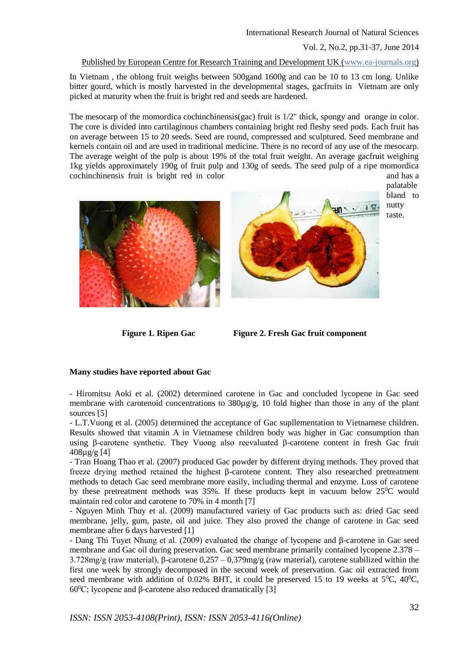#### Published by European Centre for Research Training and Development UK (www.ea-journals.org)

In Vietnam , the oblong fruit weighs between 500gand 1600g and can be 10 to 13 cm long. Unlike bitter gourd, which is mostly harvested in the developmental stages, gacfruits in Vietnam are only picked at maturity when the fruit is bright red and seeds are hardened.

The mesocarp of the momordica cochinchinensis(gac) fruit is  $1/2$ " thick, spongy and orange in color. The core is divided into cartilaginous chambers containing bright red fleshy seed pods. Each fruit has on average between 15 to 20 seeds. Seed are round, compressed and sculptured. Seed membrane and kernels contain oil and are used in traditional medicine. There is no record of any use of the mesocarp. The average weight of the pulp is about 19% of the total fruit weight. An average gacfruit weighing 1kg yields approximately 190g of fruit pulp and 130g of seeds. The seed pulp of a ripe momordica cochinchinensis fruit is bright red in color and has a







taste.

**Figure 1. Ripen Gac Figure 2. Fresh Gac fruit component**

#### **Many studies have reported about Gac**

- Hiromitsu Aoki et al. (2002) determined carotene in Gac and concluded lycopene in Gac seed membrane with carotenoid concentrations to 380µg/g, 10 fold higher than those in any of the plant sources [5]

- L.T.Vuong et al. (2005) determined the acceptance of Gac supllementation to Vietnamese children. Results showed that vitamin A in Vietnamese children body was higher in Gac consumption than using β-carotene synthetic. They Vuong also reevaluated β-carotene content in fresh Gac fruit 408µg/g [4]

- Tran Hoang Thao et al. (2007) produced Gac powder by different drying methods. They proved that freeze drying method retained the highest β-carotene content. They also researched pretreatment methods to detach Gac seed membrane more easily, including thermal and enzyme. Loss of carotene by these pretreatment methods was  $35\%$ . If these products kept in vacuum below  $25\degree$ C would maintain red color and carotene to 70% in 4 month [7]

- Nguyen Minh Thuy et al. (2009) manufactured variety of Gac products such as: dried Gac seed membrane, jelly, gum, paste, oil and juice. They also proved the change of carotene in Gac seed membrane after 6 days harvested [1]

- Dang Thi Tuyet Nhung et al. (2009) evaluated the change of lycopene and β-carotene in Gac seed membrane and Gac oil during preservation. Gac seed membrane primarily contained lycopene 2.378 – 3.728mg/g (raw material), β-carotene 0,257 – 0,379mg/g (raw material), carotene stabilized within the first one week by strongly decomposed in the second week of preservation. Gac oil extracted from seed membrane with addition of 0.02% BHT, it could be preserved 15 to 19 weeks at  $5^0C$ ,  $40^0C$ , 60<sup>0</sup>C; lycopene and β-carotene also reduced dramatically [3]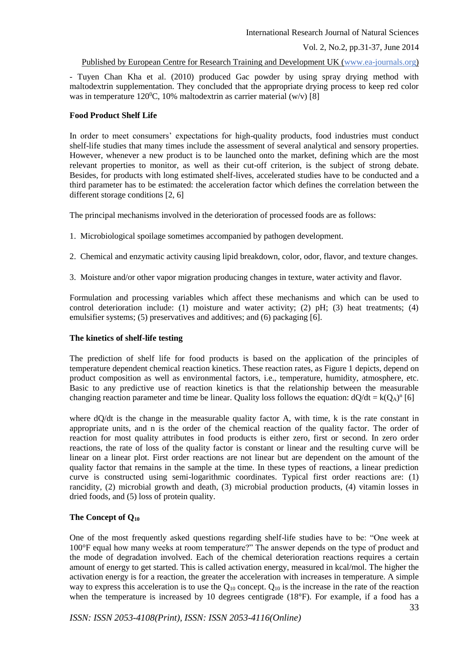#### Published by European Centre for Research Training and Development UK (www.ea-journals.org)

- Tuyen Chan Kha et al. (2010) produced Gac powder by using spray drying method with maltodextrin supplementation. They concluded that the appropriate drying process to keep red color was in temperature 120<sup>o</sup>C, 10% maltodextrin as carrier material (w/v) [8]

## **Food Product Shelf Life**

In order to meet consumers' expectations for high-quality products, food industries must conduct shelf-life studies that many times include the assessment of several analytical and sensory properties. However, whenever a new product is to be launched onto the market, defining which are the most relevant properties to monitor, as well as their cut-off criterion, is the subject of strong debate. Besides, for products with long estimated shelf-lives, accelerated studies have to be conducted and a third parameter has to be estimated: the acceleration factor which defines the correlation between the different storage conditions [2, 6]

The principal mechanisms involved in the deterioration of processed foods are as follows:

- 1. Microbiological spoilage sometimes accompanied by pathogen development.
- 2. Chemical and enzymatic activity causing lipid breakdown, color, odor, flavor, and texture changes.
- 3. Moisture and/or other vapor migration producing changes in texture, water activity and flavor.

Formulation and processing variables which affect these mechanisms and which can be used to control deterioration include: (1) moisture and water activity; (2) pH; (3) heat treatments; (4) emulsifier systems; (5) preservatives and additives; and (6) packaging [6].

## **The kinetics of shelf-life testing**

The prediction of shelf life for food products is based on the application of the principles of temperature dependent chemical reaction kinetics. These reaction rates, as Figure 1 depicts, depend on product composition as well as environmental factors, i.e., temperature, humidity, atmosphere, etc. Basic to any predictive use of reaction kinetics is that the relationship between the measurable changing reaction parameter and time be linear. Quality loss follows the equation:  $dQ/dt = k(Q_A)^n$  [6]

where dQ/dt is the change in the measurable quality factor A, with time, k is the rate constant in appropriate units, and n is the order of the chemical reaction of the quality factor. The order of reaction for most quality attributes in food products is either zero, first or second. In zero order reactions, the rate of loss of the quality factor is constant or linear and the resulting curve will be linear on a linear plot. First order reactions are not linear but are dependent on the amount of the quality factor that remains in the sample at the time. In these types of reactions, a linear prediction curve is constructed using semi-logarithmic coordinates. Typical first order reactions are: (1) rancidity, (2) microbial growth and death, (3) microbial production products, (4) vitamin losses in dried foods, and (5) loss of protein quality.

## **The Concept of Q<sup>10</sup>**

One of the most frequently asked questions regarding shelf-life studies have to be: "One week at 100°F equal how many weeks at room temperature?" The answer depends on the type of product and the mode of degradation involved. Each of the chemical deterioration reactions requires a certain amount of energy to get started. This is called activation energy, measured in kcal/mol. The higher the activation energy is for a reaction, the greater the acceleration with increases in temperature. A simple way to express this acceleration is to use the  $Q_{10}$  concept.  $Q_{10}$  is the increase in the rate of the reaction when the temperature is increased by 10 degrees centigrade (18°F). For example, if a food has a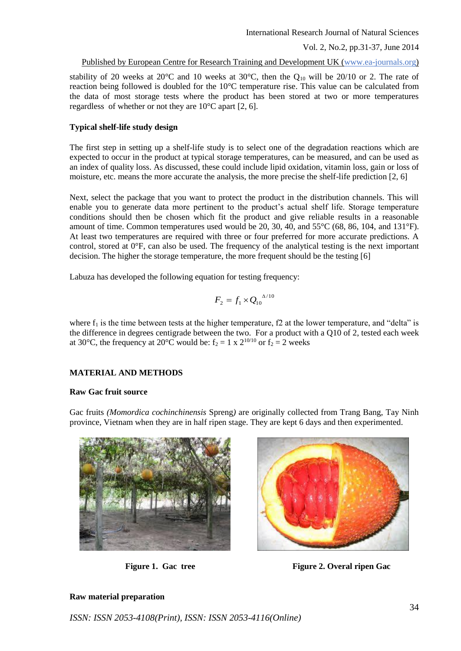Published by European Centre for Research Training and Development UK (www.ea-journals.org)

stability of 20 weeks at 20 $^{\circ}$ C and 10 weeks at 30 $^{\circ}$ C, then the Q<sub>10</sub> will be 20/10 or 2. The rate of reaction being followed is doubled for the 10°C temperature rise. This value can be calculated from the data of most storage tests where the product has been stored at two or more temperatures regardless of whether or not they are  $10^{\circ}$ C apart [2, 6].

## **Typical shelf-life study design**

The first step in setting up a shelf-life study is to select one of the degradation reactions which are expected to occur in the product at typical storage temperatures, can be measured, and can be used as an index of quality loss. As discussed, these could include lipid oxidation, vitamin loss, gain or loss of moisture, etc. means the more accurate the analysis, the more precise the shelf-life prediction [2, 6]

Next, select the package that you want to protect the product in the distribution channels. This will enable you to generate data more pertinent to the product's actual shelf life. Storage temperature conditions should then be chosen which fit the product and give reliable results in a reasonable amount of time. Common temperatures used would be 20, 30, 40, and 55°C (68, 86, 104, and 131°F). At least two temperatures are required with three or four preferred for more accurate predictions. A control, stored at 0°F, can also be used. The frequency of the analytical testing is the next important decision. The higher the storage temperature, the more frequent should be the testing [6]

Labuza has developed the following equation for testing frequency:

$$
F_2 = f_1 \times Q_{10}^{\Delta/10}
$$

where  $f_1$  is the time between tests at the higher temperature, f2 at the lower temperature, and "delta" is the difference in degrees centigrade between the two. For a product with a Q10 of 2, tested each week at 30°C, the frequency at 20°C would be:  $f_2 = 1 \times 2^{10/10}$  or  $f_2 = 2$  weeks

## **MATERIAL AND METHODS**

#### **Raw Gac fruit source**

Gac fruits *(Momordica cochinchinensis* Spreng*)* are originally collected from Trang Bang, Tay Ninh province, Vietnam when they are in half ripen stage. They are kept 6 days and then experimented.





**Figure 1. Gac tree Figure 2. Overal ripen Gac**

## **Raw material preparation**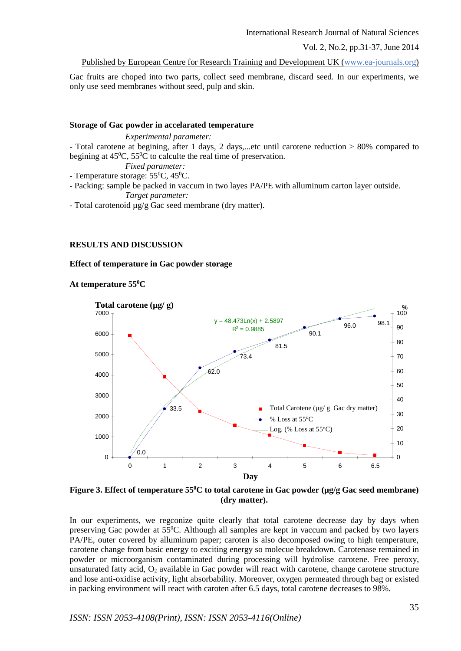International Research Journal of Natural Sciences

Vol. 2, No.2, pp.31-37, June 2014

Published by European Centre for Research Training and Development UK (www.ea-journals.org)

Gac fruits are choped into two parts, collect seed membrane, discard seed. In our experiments, we only use seed membranes without seed, pulp and skin.

#### **Storage of Gac powder in accelarated temperature**

*Experimental parameter:*  - Total carotene at begining, after 1 days, 2 days,...etc until carotene reduction > 80% compared to begining at  $45\text{°C}$ ,  $55\text{°C}$  to calculte the real time of preservation.

*Fixed parameter:* - Temperature storage:  $55^{\circ}$ C,  $45^{\circ}$ C.

- Packing: sample be packed in vaccum in two layes PA/PE with alluminum carton layer outside. *Target parameter:* 

- Total carotenoid µg/g Gac seed membrane (dry matter).

## **RESULTS AND DISCUSSION**

#### **Effect of temperature in Gac powder storage**

**At temperature 55<sup>0</sup>C**



**Figure 3. Effect of temperature 55<sup>0</sup>C to total carotene in Gac powder (µg/g Gac seed membrane) (dry matter).**

In our experiments, we regconize quite clearly that total carotene decrease day by days when preserving Gac powder at 55<sup>0</sup>C. Although all samples are kept in vaccum and packed by two layers PA/PE, outer covered by alluminum paper; caroten is also decomposed owing to high temperature, carotene change from basic energy to exciting energy so molecue breakdown. Carotenase remained in powder or microorganism contaminated during processing will hydrolise carotene. Free peroxy, unsaturated fatty acid,  $O_2$  available in Gac powder will react with carotene, change carotene structure and lose anti-oxidise activity, light absorbability. Moreover, oxygen permeated through bag or existed in packing environment will react with caroten after 6.5 days, total carotene decreases to 98%.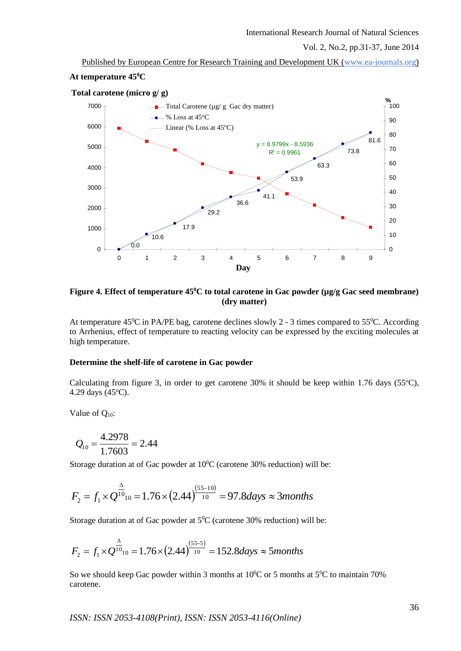Published by European Centre for Research Training and Development UK (www.ea-journals.org) **At temperature 45<sup>0</sup>C**

#### 0.0 63.3 53.9 41.1 36.6 29.2 17.9 73.8 81.6 10.6  $y = 8.9799x - 8.5936$  $R^2 = 0.9961$ 0 1000 2000 3000 4000 5000 6000 7000 0 1 2 3 4 5 6 7 8 9 **Day**  $\Omega$ 10 20 30 40 50 60 70 80 90 100 **%**  $\blacksquare$  Total Carotene ( $\mu$ g/g Gac dry matter)  $\bullet$  % Loss at 45<sup>o</sup>C Linear (% Loss at  $45^{\circ}$ C) **Total carotene (micro g/ g)**

## **Figure 4. Effect of temperature 45<sup>0</sup>C to total carotene in Gac powder (µg/g Gac seed membrane) (dry matter)**

At temperature  $45^{\circ}$ C in PA/PE bag, carotene declines slowly 2 - 3 times compared to  $55^{\circ}$ C. According to Arrhenius, effect of temperature to reacting velocity can be expressed by the exciting molecules at high temperature.

## **Determine the shelf-life of carotene in Gac powder**

Calculating from figure 3, in order to get carotene  $30\%$  it should be keep within 1.76 days (55 $^{\circ}$ C), 4.29 days (45°C).

Value of Q<sub>10</sub>:

$$
Q_{10} = \frac{4.2978}{1.7603} = 2.44
$$

Storage duration at of Gac powder at  $10^{\circ}$ C (carotene 30% reduction) will be:

$$
F_2 = f_1 \times Q^{\frac{\Delta}{10}} = 1.76 \times (2.44)^{\frac{(55-10)}{10}} = 97.8 \text{ days} \approx 3 \text{ months}
$$

Storage duration at of Gac powder at  $5^0C$  (carotene 30% reduction) will be:

$$
F_2 = f_1 \times Q^{\frac{\Delta}{10}} = 1.76 \times (2.44)^{\frac{(55-5)}{10}} = 152.8 \text{ days} \approx 5 \text{ months}
$$

So we should keep Gac powder within 3 months at  $10^{0}$ C or 5 months at  $5^{0}$ C to maintain 70% carotene.